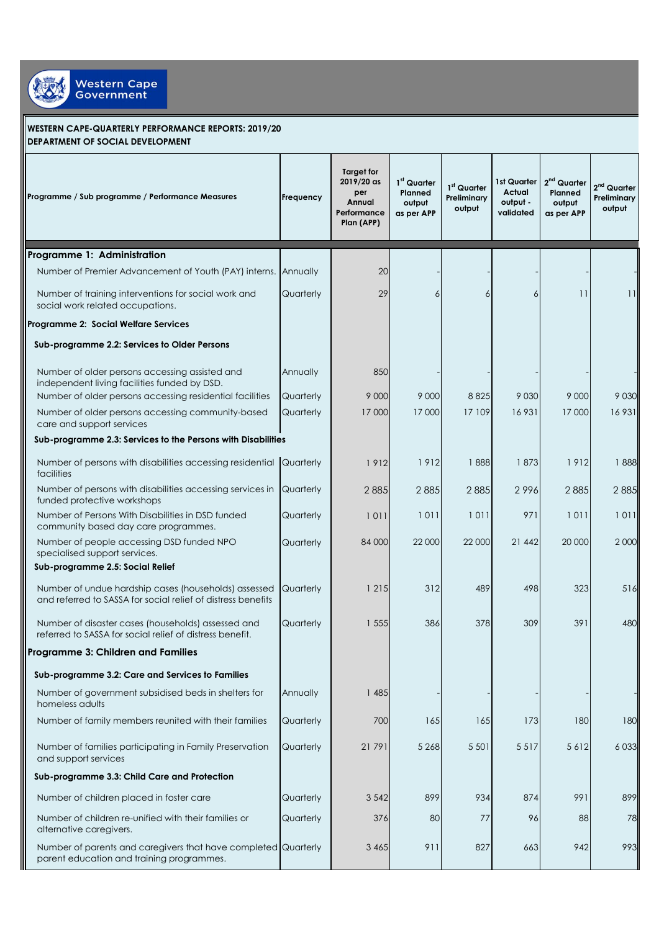

## **WESTERN CAPE-QUARTERLY PERFORMANCE REPORTS: 2019/20 DEPARTMENT OF SOCIAL DEVELOPMENT**

| Programme / Sub programme / Performance Measures                                                                     | Frequency | <b>Target for</b><br>2019/20 as<br>per<br>Annual<br>Performance<br>Plan (APP) | 1 <sup>st</sup> Quarter<br>Planned<br>output<br>as per APP | 1st Quarter<br>Preliminary<br>output | 1st Quarter<br>Actual<br>output -<br>validated | $2nd$ Quarter<br>Planned<br>output<br>as per APP | $2nd$ Quarter<br>Preliminary<br>output |
|----------------------------------------------------------------------------------------------------------------------|-----------|-------------------------------------------------------------------------------|------------------------------------------------------------|--------------------------------------|------------------------------------------------|--------------------------------------------------|----------------------------------------|
| Programme 1: Administration                                                                                          |           |                                                                               |                                                            |                                      |                                                |                                                  |                                        |
| Number of Premier Advancement of Youth (PAY) interns. Annually                                                       |           | 20                                                                            |                                                            |                                      |                                                |                                                  |                                        |
| Number of training interventions for social work and<br>social work related occupations.                             | Quarterly | 29                                                                            | 6                                                          | 6                                    | 6                                              | 11                                               | 11                                     |
| Programme 2: Social Welfare Services                                                                                 |           |                                                                               |                                                            |                                      |                                                |                                                  |                                        |
| Sub-programme 2.2: Services to Older Persons                                                                         |           |                                                                               |                                                            |                                      |                                                |                                                  |                                        |
| Number of older persons accessing assisted and<br>independent living facilities funded by DSD.                       | Annually  | 850                                                                           |                                                            |                                      |                                                |                                                  |                                        |
| Number of older persons accessing residential facilities                                                             | Quarterly | 9 0 0 0                                                                       | 9 0 0 0                                                    | 8825                                 | 9 0 3 0                                        | 9 0 0 0                                          | 9 0 3 0                                |
| Number of older persons accessing community-based<br>care and support services                                       | Quarterly | 17 000                                                                        | 17 000                                                     | 17 109                               | 16931                                          | 17000                                            | 16931                                  |
| Sub-programme 2.3: Services to the Persons with Disabilities                                                         |           |                                                                               |                                                            |                                      |                                                |                                                  |                                        |
| Number of persons with disabilities accessing residential Quarterly<br>facilities                                    |           | 1912                                                                          | 1912                                                       | 1888                                 | 1873                                           | 1912                                             | 1888                                   |
| Number of persons with disabilities accessing services in<br>funded protective workshops                             | Quarterly | 2885                                                                          | 2885                                                       | 2885                                 | 2996                                           | 2885                                             | 2885                                   |
| Number of Persons With Disabilities in DSD funded<br>community based day care programmes.                            | Quarterly | 1011                                                                          | 1011                                                       | 1011                                 | 971                                            | 1011                                             | 1011                                   |
| Number of people accessing DSD funded NPO<br>specialised support services.                                           | Quarterly | 84 000                                                                        | 22 000                                                     | 22 000                               | 21 442                                         | 20 000                                           | 2000                                   |
| Sub-programme 2.5: Social Relief                                                                                     |           |                                                                               |                                                            |                                      |                                                |                                                  |                                        |
| Number of undue hardship cases (households) assessed<br>and referred to SASSA for social relief of distress benefits | Quarterly | 1 2 1 5                                                                       | 312                                                        | 489                                  | 498                                            | 323                                              | 516                                    |
| Number of disaster cases (households) assessed and<br>referred to SASSA for social relief of distress benefit.       | Quarterly | 1 555                                                                         | 386                                                        | 378                                  | 309                                            | 391                                              | 480                                    |
| Programme 3: Children and Families                                                                                   |           |                                                                               |                                                            |                                      |                                                |                                                  |                                        |
| Sub-programme 3.2: Care and Services to Families                                                                     |           |                                                                               |                                                            |                                      |                                                |                                                  |                                        |
| Number of government subsidised beds in shelters for<br>homeless adults                                              | Annually  | 1 485                                                                         |                                                            |                                      |                                                |                                                  |                                        |
| Number of family members reunited with their families                                                                | Quarterly | 700                                                                           | 165                                                        | 165                                  | 173                                            | 180                                              | 180                                    |
| Number of families participating in Family Preservation<br>and support services                                      | Quarterly | 21 791                                                                        | 5 2 6 8                                                    | 5 5 0 1                              | 5517                                           | 5612                                             | 6033                                   |
| Sub-programme 3.3: Child Care and Protection                                                                         |           |                                                                               |                                                            |                                      |                                                |                                                  |                                        |
| Number of children placed in foster care                                                                             | Quarterly | 3 5 4 2                                                                       | 899                                                        | 934                                  | 874                                            | 991                                              | 899                                    |
| Number of children re-unified with their families or<br>alternative caregivers.                                      | Quarterly | 376                                                                           | 80                                                         | 77                                   | 96                                             | 88                                               | 78                                     |
| Number of parents and caregivers that have completed Quarterly<br>parent education and training programmes.          |           | 3 4 6 5                                                                       | 911                                                        | 827                                  | 663                                            | 942                                              | 993                                    |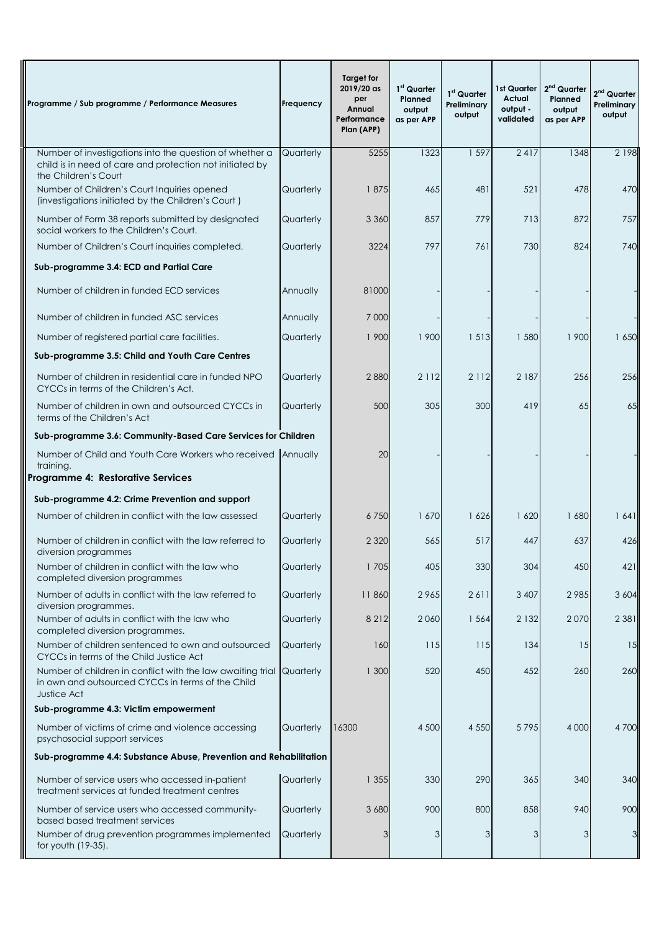| Programme / Sub programme / Performance Measures                                                                               | Frequency | Target for<br>2019/20 as<br>per<br>Annual<br>Performance<br>Plan (APP) | 1 <sup>st</sup> Quarter<br>Planned<br>output<br>as per APP | 1 <sup>st</sup> Quarter<br>Preliminary<br>output | 1st Quarter<br>Actual<br>output -<br>validated | 2 <sup>nd</sup> Quarter<br>Planned<br>output<br>as per APP | $2nd$ Quarter<br>Preliminary<br>output |
|--------------------------------------------------------------------------------------------------------------------------------|-----------|------------------------------------------------------------------------|------------------------------------------------------------|--------------------------------------------------|------------------------------------------------|------------------------------------------------------------|----------------------------------------|
| Number of investigations into the question of whether a                                                                        | Quarterly | 5255                                                                   | 1323                                                       | 1 5 9 7                                          | 2417                                           | 1348                                                       | 2 1 9 8                                |
| child is in need of care and protection not initiated by<br>the Children's Court                                               |           |                                                                        |                                                            |                                                  |                                                |                                                            |                                        |
| Number of Children's Court Inquiries opened<br>(investigations initiated by the Children's Court)                              | Quarterly | 1875                                                                   | 465                                                        | 481                                              | 521                                            | 478                                                        | 470                                    |
| Number of Form 38 reports submitted by designated<br>social workers to the Children's Court.                                   | Quarterly | 3 3 6 0                                                                | 857                                                        | 779                                              | 713                                            | 872                                                        | 757                                    |
| Number of Children's Court inquiries completed.                                                                                | Quarterly | 3224                                                                   | 797                                                        | 761                                              | 730                                            | 824                                                        | 740                                    |
| Sub-programme 3.4: ECD and Partial Care                                                                                        |           |                                                                        |                                                            |                                                  |                                                |                                                            |                                        |
| Number of children in funded ECD services                                                                                      | Annually  | 81000                                                                  |                                                            |                                                  |                                                |                                                            |                                        |
| Number of children in funded ASC services                                                                                      | Annually  | 7 0 0 0                                                                |                                                            |                                                  |                                                |                                                            |                                        |
| Number of registered partial care facilities.                                                                                  | Quarterly | 1 900                                                                  | 1 900                                                      | 1 5 1 3                                          | 1 580                                          | 1 900                                                      | 1650                                   |
| Sub-programme 3.5: Child and Youth Care Centres                                                                                |           |                                                                        |                                                            |                                                  |                                                |                                                            |                                        |
| Number of children in residential care in funded NPO<br>CYCCs in terms of the Children's Act.                                  | Quarterly | 2880                                                                   | 2 1 1 2                                                    | 2 1 1 2                                          | 2 1 8 7                                        | 256                                                        | 256                                    |
| Number of children in own and outsourced CYCCs in<br>terms of the Children's Act                                               | Quarterly | 500                                                                    | 305                                                        | 300                                              | 419                                            | 65                                                         | 65                                     |
| Sub-programme 3.6: Community-Based Care Services for Children                                                                  |           |                                                                        |                                                            |                                                  |                                                |                                                            |                                        |
| Number of Child and Youth Care Workers who received Annually<br>training.<br>Programme 4: Restorative Services                 |           | 20                                                                     |                                                            |                                                  |                                                |                                                            |                                        |
| Sub-programme 4.2: Crime Prevention and support                                                                                |           |                                                                        |                                                            |                                                  |                                                |                                                            |                                        |
| Number of children in conflict with the law assessed                                                                           | Quarterly | 6750                                                                   | 1670                                                       | 1626                                             | 1620                                           | 1680                                                       | 1641                                   |
| Number of children in conflict with the law referred to<br>diversion programmes                                                | Quarterly | 2 3 2 0                                                                | 565                                                        | 517                                              | 447                                            | 637                                                        | 426                                    |
| Number of children in conflict with the law who<br>completed diversion programmes                                              | Quarterly | 1705                                                                   | 405                                                        | 330                                              | 304                                            | 450                                                        | 421                                    |
| Number of adults in conflict with the law referred to<br>diversion programmes.                                                 | Quarterly | 11860                                                                  | 2965                                                       | 2611                                             | 3 4 0 7                                        | 2985                                                       | 3 6 0 4                                |
| Number of adults in conflict with the law who<br>completed diversion programmes.                                               | Quarterly | 8212                                                                   | 2060                                                       | 1 5 6 4                                          | 2 1 3 2                                        | 2070                                                       | 2 3 8 1                                |
| Number of children sentenced to own and outsourced<br>CYCCs in terms of the Child Justice Act                                  | Quarterly | 160                                                                    | 115                                                        | 115                                              | 134                                            | 15                                                         | 15                                     |
| Number of children in conflict with the law awaiting trial<br>in own and outsourced CYCCs in terms of the Child<br>Justice Act | Quarterly | 1 300                                                                  | 520                                                        | 450                                              | 452                                            | 260                                                        | 260                                    |
| Sub-programme 4.3: Victim empowerment                                                                                          |           |                                                                        |                                                            |                                                  |                                                |                                                            |                                        |
| Number of victims of crime and violence accessing<br>psychosocial support services                                             | Quarterly | 16300                                                                  | 4 500                                                      | 4 5 5 0                                          | 5795                                           | 4 0 0 0                                                    | 4700                                   |
| Sub-programme 4.4: Substance Abuse, Prevention and Rehabilitation                                                              |           |                                                                        |                                                            |                                                  |                                                |                                                            |                                        |
| Number of service users who accessed in-patient<br>treatment services at funded treatment centres                              | Quarterly | 1 355                                                                  | 330                                                        | 290                                              | 365                                            | 340                                                        | 340                                    |
| Number of service users who accessed community-<br>based based treatment services                                              | Quarterly | 3 6 8 0                                                                | 900                                                        | 800                                              | 858                                            | 940                                                        | 900                                    |
| Number of drug prevention programmes implemented<br>for youth (19-35).                                                         | Quarterly | 3                                                                      | 3                                                          | 3                                                | 3                                              | 3                                                          | 3                                      |

I